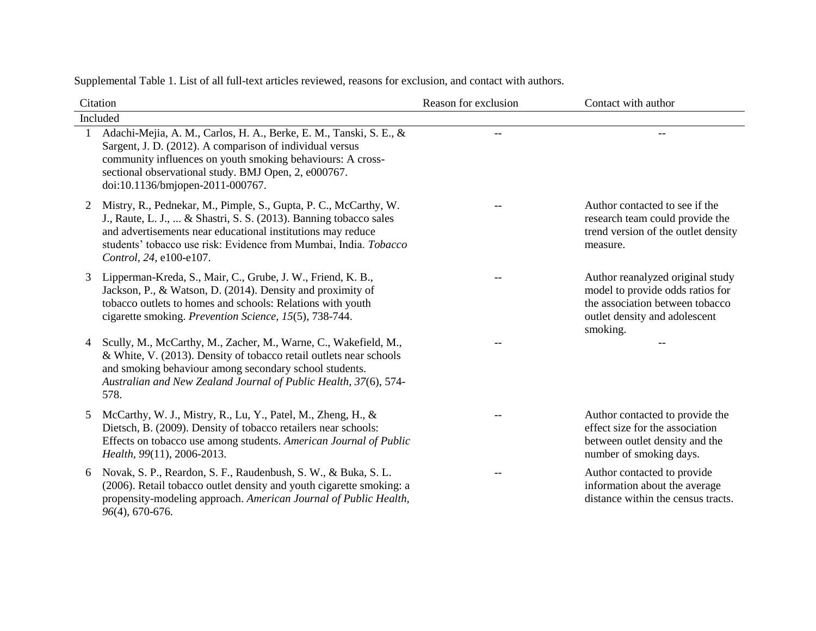| Citation |                                                                                                                                                                                                                                                                                                     | Reason for exclusion | Contact with author                                                                                                                                  |  |
|----------|-----------------------------------------------------------------------------------------------------------------------------------------------------------------------------------------------------------------------------------------------------------------------------------------------------|----------------------|------------------------------------------------------------------------------------------------------------------------------------------------------|--|
|          | Included                                                                                                                                                                                                                                                                                            |                      |                                                                                                                                                      |  |
|          | Adachi-Mejia, A. M., Carlos, H. A., Berke, E. M., Tanski, S. E., &<br>Sargent, J. D. (2012). A comparison of individual versus<br>community influences on youth smoking behaviours: A cross-<br>sectional observational study. BMJ Open, 2, e000767.<br>doi:10.1136/bmjopen-2011-000767.            | $- -$                | $-$                                                                                                                                                  |  |
| 2        | Mistry, R., Pednekar, M., Pimple, S., Gupta, P. C., McCarthy, W.<br>J., Raute, L. J.,  & Shastri, S. S. (2013). Banning tobacco sales<br>and advertisements near educational institutions may reduce<br>students' tobacco use risk: Evidence from Mumbai, India. Tobacco<br>Control, 24, e100-e107. |                      | Author contacted to see if the<br>research team could provide the<br>trend version of the outlet density<br>measure.                                 |  |
| 3        | Lipperman-Kreda, S., Mair, C., Grube, J. W., Friend, K. B.,<br>Jackson, P., & Watson, D. (2014). Density and proximity of<br>tobacco outlets to homes and schools: Relations with youth<br>cigarette smoking. Prevention Science, 15(5), 738-744.                                                   |                      | Author reanalyzed original study<br>model to provide odds ratios for<br>the association between tobacco<br>outlet density and adolescent<br>smoking. |  |
| 4        | Scully, M., McCarthy, M., Zacher, M., Warne, C., Wakefield, M.,<br>& White, V. (2013). Density of tobacco retail outlets near schools<br>and smoking behaviour among secondary school students.<br>Australian and New Zealand Journal of Public Health, 37(6), 574-<br>578.                         |                      |                                                                                                                                                      |  |
| 5        | McCarthy, W. J., Mistry, R., Lu, Y., Patel, M., Zheng, H., &<br>Dietsch, B. (2009). Density of tobacco retailers near schools:<br>Effects on tobacco use among students. American Journal of Public<br>Health, 99(11), 2006-2013.                                                                   |                      | Author contacted to provide the<br>effect size for the association<br>between outlet density and the<br>number of smoking days.                      |  |
| 6        | Novak, S. P., Reardon, S. F., Raudenbush, S. W., & Buka, S. L.<br>(2006). Retail tobacco outlet density and youth cigarette smoking: a<br>propensity-modeling approach. American Journal of Public Health,<br>96(4), 670-676.                                                                       |                      | Author contacted to provide<br>information about the average<br>distance within the census tracts.                                                   |  |

Supplemental Table 1. List of all full-text articles reviewed, reasons for exclusion, and contact with authors.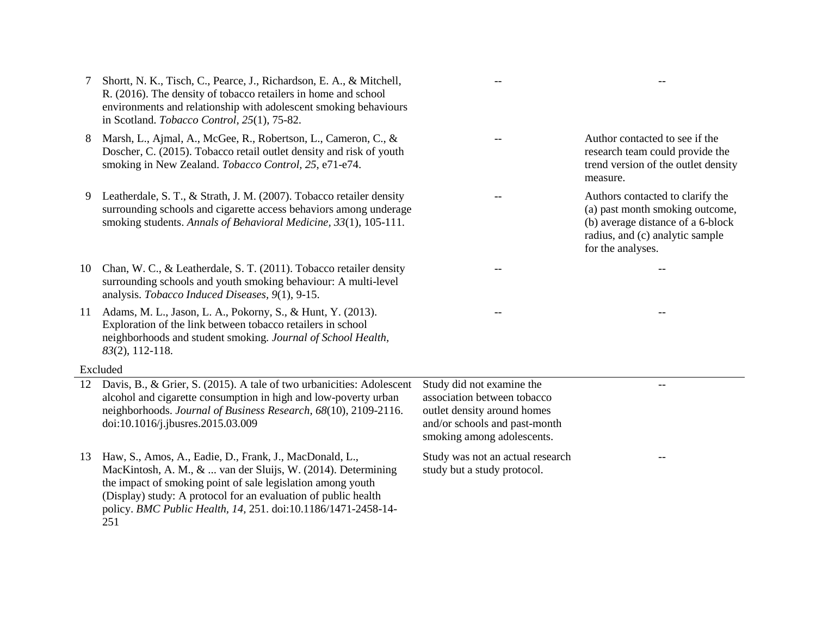- 7 Shortt, N. K., Tisch, C., Pearce, J., Richardson, E. A., & Mitchell, R. (2016). The density of tobacco retailers in home and school environments and relationship with adolescent smoking behaviours in Scotland. *Tobacco Control, 25*(1), 75-82.
- 8 Marsh, L., Ajmal, A., McGee, R., Robertson, L., Cameron, C., & Doscher, C. (2015). Tobacco retail outlet density and risk of youth smoking in New Zealand. *Tobacco Control, 25*, e71-e74.
- 9 Leatherdale, S. T., & Strath, J. M. (2007). Tobacco retailer density surrounding schools and cigarette access behaviors among underage smoking students. *Annals of Behavioral Medicine, 33*(1), 105-111.
- 10 Chan, W. C., & Leatherdale, S. T. (2011). Tobacco retailer density surrounding schools and youth smoking behaviour: A multi-level analysis. *Tobacco Induced Diseases, 9*(1), 9-15.
- 11 Adams, M. L., Jason, L. A., Pokorny, S., & Hunt, Y. (2013). Exploration of the link between tobacco retailers in school neighborhoods and student smoking. *Journal of School Health, 83*(2), 112-118.

## Excluded

- 12 Davis, B., & Grier, S. (2015). A tale of two urbanicities: Adolescent alcohol and cigarette consumption in high and low-poverty urban neighborhoods. *Journal of Business Research*, *68*(10), 2109-2116. doi:10.1016/j.jbusres.2015.03.009
- 13 Haw, S., Amos, A., Eadie, D., Frank, J., MacDonald, L., MacKintosh, A. M., & ... van der Sluijs, W. (2014). Determining the impact of smoking point of sale legislation among youth (Display) study: A protocol for an evaluation of public health policy. *BMC Public Health, 14,* 251. doi:10.1186/1471-2458-14- 251

Study did not examine the association between tobacco outlet density around homes and/or schools and past-month smoking among adolescents.

Study was not an actual research study but a study protocol.

Author contacted to see if the research team could provide the trend version of the outlet density measure.

-- --

-- --

-- --

Authors contacted to clarify the (a) past month smoking outcome, (b) average distance of a 6-block radius, and (c) analytic sample for the analyses.

--

--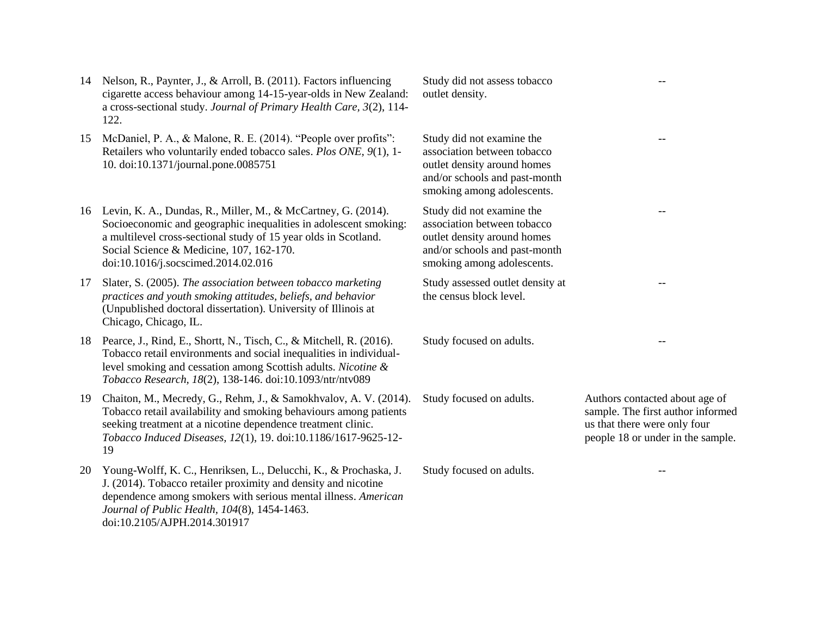- 14 Nelson, R., Paynter, J., & Arroll, B. (2011). Factors influencing cigarette access behaviour among 14-15-year-olds in New Zealand: a cross-sectional study. *Journal of Primary Health Care, 3*(2), 114- 122.
- 15 McDaniel, P. A., & Malone, R. E. (2014). "People over profits": Retailers who voluntarily ended tobacco sales. *Plos ONE, 9*(1), 1- 10. doi:10.1371/journal.pone.0085751
- 16 Levin, K. A., Dundas, R., Miller, M., & McCartney, G. (2014). Socioeconomic and geographic inequalities in adolescent smoking: a multilevel cross-sectional study of 15 year olds in Scotland. Social Science & Medicine, 107, 162-170. doi:10.1016/j.socscimed.2014.02.016
- 17 Slater, S. (2005). *The association between tobacco marketing practices and youth smoking attitudes, beliefs, and behavior* (Unpublished doctoral dissertation). University of Illinois at Chicago, Chicago, IL.
- 18 Pearce, J., Rind, E., Shortt, N., Tisch, C., & Mitchell, R. (2016). Tobacco retail environments and social inequalities in individuallevel smoking and cessation among Scottish adults. *Nicotine & Tobacco Research, 18*(2), 138-146. doi:10.1093/ntr/ntv089
- 19 Chaiton, M., Mecredy, G., Rehm, J., & Samokhvalov, A. V. (2014). Tobacco retail availability and smoking behaviours among patients seeking treatment at a nicotine dependence treatment clinic. *Tobacco Induced Diseases, 12*(1), 19. doi:10.1186/1617-9625-12- 19
- 20 Young-Wolff, K. C., Henriksen, L., Delucchi, K., & Prochaska, J. J. (2014). Tobacco retailer proximity and density and nicotine dependence among smokers with serious mental illness. *American Journal of Public Health, 104*(8), 1454-1463. doi:10.2105/AJPH.2014.301917

Study did not assess tobacco outlet density.

Study did not examine the association between tobacco outlet density around homes and/or schools and past-month smoking among adolescents.

Study did not examine the association between tobacco outlet density around homes and/or schools and past-month smoking among adolescents.

Study assessed outlet density at the census block level.

Study focused on adults.

Study focused on adults. Authors contacted about age of sample. The first author informed us that there were only four people 18 or under in the sample.

--

--

--

--

Study focused on adults.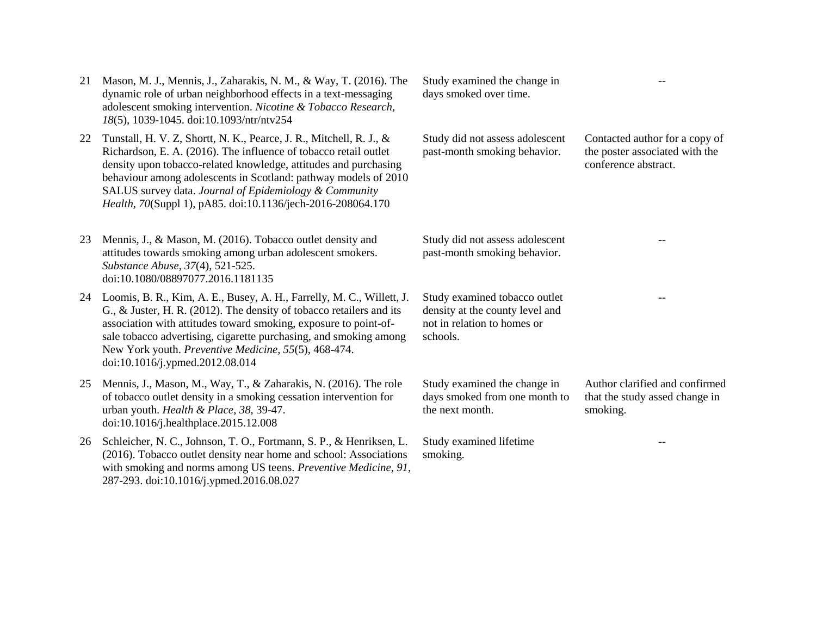| 21 | Mason, M. J., Mennis, J., Zaharakis, N. M., & Way, T. (2016). The<br>dynamic role of urban neighborhood effects in a text-messaging<br>adolescent smoking intervention. Nicotine & Tobacco Research,<br>18(5), 1039-1045. doi:10.1093/ntr/ntv254                                                                                                                                                        | Study examined the change in<br>days smoked over time.                                                      |                                                                                          |
|----|---------------------------------------------------------------------------------------------------------------------------------------------------------------------------------------------------------------------------------------------------------------------------------------------------------------------------------------------------------------------------------------------------------|-------------------------------------------------------------------------------------------------------------|------------------------------------------------------------------------------------------|
| 22 | Tunstall, H. V. Z, Shortt, N. K., Pearce, J. R., Mitchell, R. J., &<br>Richardson, E. A. (2016). The influence of tobacco retail outlet<br>density upon tobacco-related knowledge, attitudes and purchasing<br>behaviour among adolescents in Scotland: pathway models of 2010<br>SALUS survey data. Journal of Epidemiology & Community<br>Health, 70(Suppl 1), pA85. doi:10.1136/jech-2016-208064.170 | Study did not assess adolescent<br>past-month smoking behavior.                                             | Contacted author for a copy of<br>the poster associated with the<br>conference abstract. |
| 23 | Mennis, J., & Mason, M. (2016). Tobacco outlet density and<br>attitudes towards smoking among urban adolescent smokers.<br>Substance Abuse, 37(4), 521-525.<br>doi:10.1080/08897077.2016.1181135                                                                                                                                                                                                        | Study did not assess adolescent<br>past-month smoking behavior.                                             |                                                                                          |
|    | 24 Loomis, B. R., Kim, A. E., Busey, A. H., Farrelly, M. C., Willett, J.<br>G., & Juster, H. R. (2012). The density of tobacco retailers and its<br>association with attitudes toward smoking, exposure to point-of-<br>sale tobacco advertising, cigarette purchasing, and smoking among<br>New York youth. Preventive Medicine, 55(5), 468-474.<br>doi:10.1016/j.ypmed.2012.08.014                    | Study examined tobacco outlet<br>density at the county level and<br>not in relation to homes or<br>schools. |                                                                                          |
| 25 | Mennis, J., Mason, M., Way, T., & Zaharakis, N. (2016). The role<br>of tobacco outlet density in a smoking cessation intervention for<br>urban youth. Health & Place, 38, 39-47.<br>doi:10.1016/j.healthplace.2015.12.008                                                                                                                                                                               | Study examined the change in<br>days smoked from one month to<br>the next month.                            | Author clarified and confirmed<br>that the study assed change in<br>smoking.             |
| 26 | Schleicher, N. C., Johnson, T. O., Fortmann, S. P., & Henriksen, L.<br>(2016). Tobacco outlet density near home and school: Associations<br>with smoking and norms among US teens. Preventive Medicine, 91,                                                                                                                                                                                             | Study examined lifetime<br>smoking.                                                                         |                                                                                          |

287-293. doi:10.1016/j.ypmed.2016.08.027